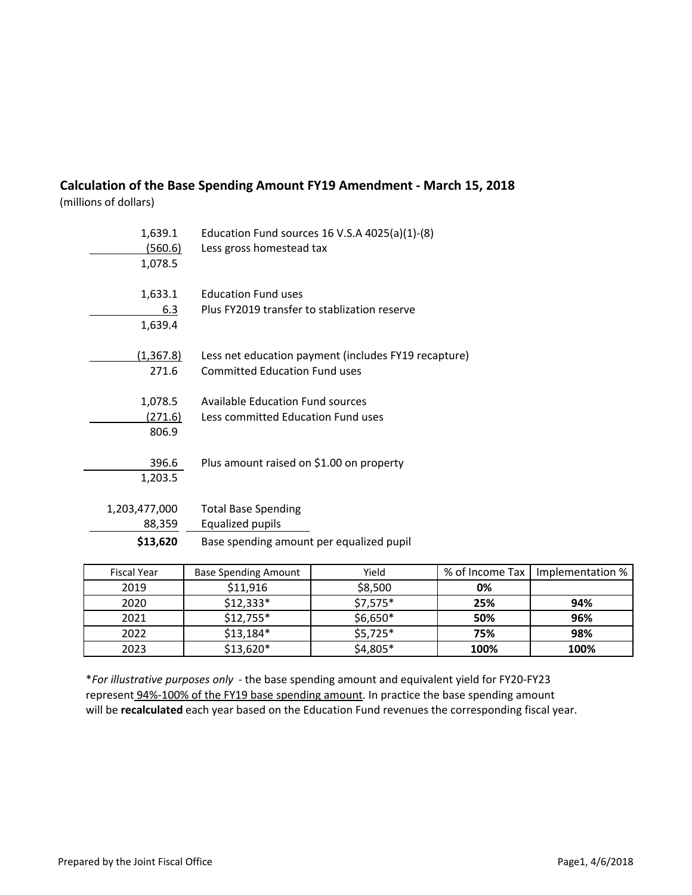## **Calculation of the Base Spending Amount FY19 Amendment - March 15, 2018**

(millions of dollars)

| 1,639.1<br><u>(560.6)</u><br>1,078.5 | Education Fund sources 16 V.S.A $4025(a)(1)-(8)$<br>Less gross homestead tax                 |
|--------------------------------------|----------------------------------------------------------------------------------------------|
| 1,633.1<br>6.3<br>1,639.4            | <b>Education Fund uses</b><br>Plus FY2019 transfer to stablization reserve                   |
| (1,367.8)<br>271.6                   | Less net education payment (includes FY19 recapture)<br><b>Committed Education Fund uses</b> |
| 1,078.5<br>(271.6)<br>806.9          | <b>Available Education Fund sources</b><br>Less committed Education Fund uses                |
| 396.6<br>1,203.5                     | Plus amount raised on \$1.00 on property                                                     |
| 1,203,477,000<br>88,359              | <b>Total Base Spending</b><br>Equalized pupils                                               |
| \$13,620                             | Base spending amount per equalized pupil                                                     |

| <b>Fiscal Year</b> | <b>Base Spending Amount</b> | Yield     | % of Income Tax | Implementation % |
|--------------------|-----------------------------|-----------|-----------------|------------------|
| 2019               | \$11,916                    | \$8,500   | 0%              |                  |
| 2020               | $$12,333*$                  | $$7,575*$ | 25%             | 94%              |
| 2021               | $$12,755*$                  | $$6,650*$ | 50%             | 96%              |
| 2022               | $$13,184*$                  | $$5,725*$ | 75%             | 98%              |
| 2023               | $$13,620*$                  | $$4,805*$ | 100%            | 100%             |

\**For illustrative purposes only* - the base spending amount and equivalent yield for FY20-FY23 represent 94%-100% of the FY19 base spending amount. In practice the base spending amount will be **recalculated** each year based on the Education Fund revenues the corresponding fiscal year.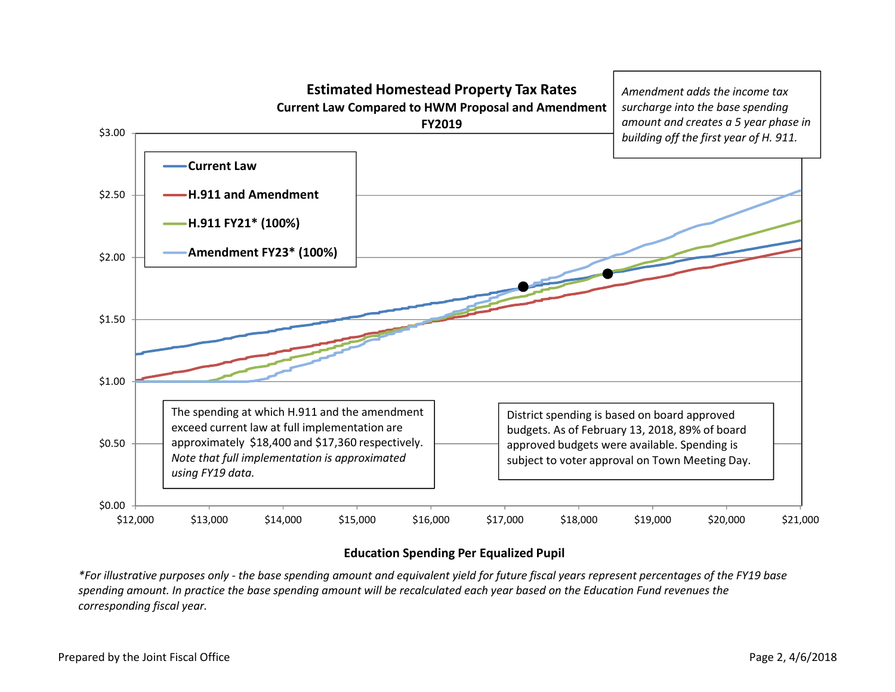

## **Education Spending Per Equalized Pupil**

*\*For illustrative purposes only - the base spending amount and equivalent yield for future fiscal years represent percentages of the FY19 base spending amount. In practice the base spending amount will be recalculated each year based on the Education Fund revenues thecorresponding fiscal year.*